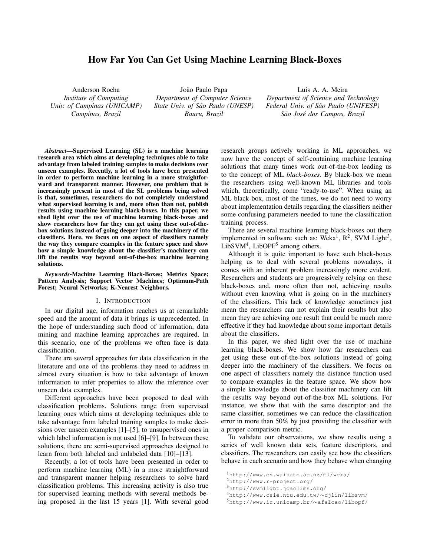# How Far You Can Get Using Machine Learning Black-Boxes

Anderson Rocha *Institute of Computing Univ. of Campinas (UNICAMP) Campinas, Brazil*

João Paulo Papa *Department of Computer Science State Univ. of São Paulo (UNESP) Bauru, Brazil*

Luis A. A. Meira *Department of Science and Technology Federal Univ. of São Paulo (UNIFESP) Sao Jos ˜ e dos Campos, Brazil ´*

*Abstract*—Supervised Learning (SL) is a machine learning research area which aims at developing techniques able to take advantage from labeled training samples to make decisions over unseen examples. Recently, a lot of tools have been presented in order to perform machine learning in a more straightforward and transparent manner. However, one problem that is increasingly present in most of the SL problems being solved is that, sometimes, researchers do not completely understand what supervised learning is and, more often than not, publish results using machine learning black-boxes. In this paper, we shed light over the use of machine learning black-boxes and show researchers how far they can get using these out-of-thebox solutions instead of going deeper into the machinery of the classifiers. Here, we focus on one aspect of classifiers namely the way they compare examples in the feature space and show how a simple knowledge about the classifier's machinery can lift the results way beyond out-of-the-box machine learning solutions.

*Keywords*-Machine Learning Black-Boxes; Metrics Space; Pattern Analysis; Support Vector Machines; Optimum-Path Forest; Neural Networks; K-Nearest Neighbors.

# I. INTRODUCTION

In our digital age, information reaches us at remarkable speed and the amount of data it brings is unprecedented. In the hope of understanding such flood of information, data mining and machine learning approaches are required. In this scenario, one of the problems we often face is data classification.

There are several approaches for data classification in the literature and one of the problems they need to address in almost every situation is how to take advantage of known information to infer properties to allow the inference over unseen data examples.

Different approaches have been proposed to deal with classification problems. Solutions range from supervised learning ones which aims at developing techniques able to take advantage from labeled training samples to make decisions over unseen examples [1]–[5], to unsupervised ones in which label information is not used [6]–[9]. In between these solutions, there are semi-supervised approaches designed to learn from both labeled and unlabeled data [10]–[13].

Recently, a lot of tools have been presented in order to perform machine learning (ML) in a more straightforward and transparent manner helping researchers to solve hard classification problems. This increasing activity is also true for supervised learning methods with several methods being proposed in the last 15 years [1]. With several good research groups actively working in ML approaches, we now have the concept of self-containing machine learning solutions that many times work out-of-the-box leading us to the concept of ML *black-boxes*. By black-box we mean the researchers using well-known ML libraries and tools which, theoretically, come "ready-to-use". When using an ML black-box, most of the times, we do not need to worry about implementation details regarding the classifiers neither some confusing parameters needed to tune the classification training process.

There are several machine learning black-boxes out there implemented in software such as: Weka<sup>1</sup>,  $R^2$ , SVM Light<sup>3</sup>,  $LibSVM<sup>4</sup>$ , LibOPF<sup>5</sup> among others.

Although it is quite important to have such black-boxes helping us to deal with several problems nowadays, it comes with an inherent problem increasingly more evident. Researchers and students are progressively relying on these black-boxes and, more often than not, achieving results without even knowing what is going on in the machinery of the classifiers. This lack of knowledge sometimes just mean the researchers can not explain their results but also mean they are achieving one result that could be much more effective if they had knowledge about some important details about the classifiers.

In this paper, we shed light over the use of machine learning black-boxes. We show how far researchers can get using these out-of-the-box solutions instead of going deeper into the machinery of the classifiers. We focus on one aspect of classifiers namely the distance function used to compare examples in the feature space. We show how a simple knowledge about the classifier machinery can lift the results way beyond out-of-the-box ML solutions. For instance, we show that with the same descriptor and the same classifier, sometimes we can reduce the classification error in more than 50% by just providing the classifier with a proper comparison metric.

To validate our observations, we show results using a series of well known data sets, feature descriptors, and classifiers. The researchers can easily see how the classifiers behave in each scenario and how they behave when changing

- <sup>2</sup>http://www.r-project.org/
- <sup>3</sup>http://svmlight.joachims.org/
- <sup>4</sup>http://www.csie.ntu.edu.tw/∼cjlin/libsvm/
- <sup>5</sup>http://www.ic.unicamp.br/∼afalcao/libopf/

<sup>1</sup>http://www.cs.waikato.ac.nz/ml/weka/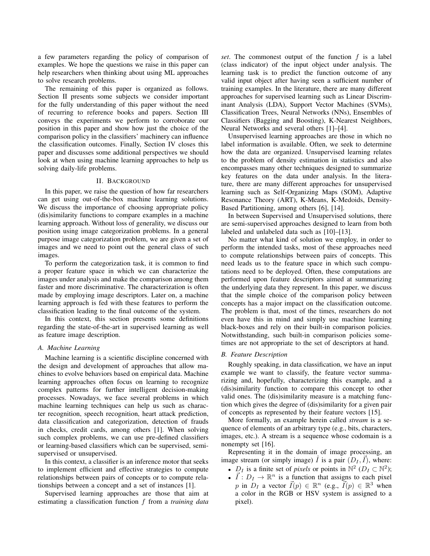a few parameters regarding the policy of comparison of examples. We hope the questions we raise in this paper can help researchers when thinking about using ML approaches to solve research problems.

The remaining of this paper is organized as follows. Section II presents some subjects we consider important for the fully understanding of this paper without the need of recurring to reference books and papers. Section III conveys the experiments we perform to corroborate our position in this paper and show how just the choice of the comparison policy in the classifiers' machinery can influence the classification outcomes. Finally, Section IV closes this paper and discusses some additional perspectives we should look at when using machine learning approaches to help us solving daily-life problems.

### II. BACKGROUND

In this paper, we raise the question of how far researchers can get using out-of-the-box machine learning solutions. We discuss the importance of choosing appropriate policy (dis)similarity functions to compare examples in a machine learning approach. Without loss of generality, we discuss our position using image categorization problems. In a general purpose image categorization problem, we are given a set of images and we need to point out the general class of such images.

To perform the categorization task, it is common to find a proper feature space in which we can characterize the images under analysis and make the comparison among them faster and more discriminative. The characterization is often made by employing image descriptors. Later on, a machine learning approach is fed with these features to perform the classification leading to the final outcome of the system.

In this context, this section presents some definitions regarding the state-of-the-art in supervised learning as well as feature image description.

## *A. Machine Learning*

Machine learning is a scientific discipline concerned with the design and development of approaches that allow machines to evolve behaviors based on empirical data. Machine learning approaches often focus on learning to recognize complex patterns for further intelligent decision-making processes. Nowadays, we face several problems in which machine learning techniques can help us such as character recognition, speech recognition, heart attack prediction, data classification and categorization, detection of frauds in checks, credit cards, among others [1]. When solving such complex problems, we can use pre-defined classifiers or learning-based classifiers which can be supervised, semisupervised or unsupervised.

In this context, a classifier is an inference motor that seeks to implement efficient and effective strategies to compute relationships between pairs of concepts or to compute relationships between a concept and a set of instances [1].

Supervised learning approaches are those that aim at estimating a classification function f from a *training data* *set*. The commonest output of the function f is a label (class indicator) of the input object under analysis. The learning task is to predict the function outcome of any valid input object after having seen a sufficient number of training examples. In the literature, there are many different approaches for supervised learning such as Linear Discriminant Analysis (LDA), Support Vector Machines (SVMs), Classification Trees, Neural Networks (NNs), Ensembles of Classifiers (Bagging and Boosting), K-Nearest Neighbors, Neural Networks and several others [1]–[4].

Unsupervised learning approaches are those in which no label information is available. Often, we seek to determine how the data are organized. Unsupervised learning relates to the problem of density estimation in statistics and also encompasses many other techniques designed to summarize key features on the data under analysis. In the literature, there are many different approaches for unsupervised learning such as Self-Organizing Maps (SOM), Adaptive Resonance Theory (ART), K-Means, K-Medoids, Density-Based Partitioning, among others [6], [14].

In between Supervised and Unsupervised solutions, there are semi-supervised approaches designed to learn from both labeled and unlabeled data such as [10]–[13].

No matter what kind of solution we employ, in order to perform the intended tasks, most of these approaches need to compute relationships between pairs of concepts. This need leads us to the feature space in which such computations need to be deployed. Often, these computations are performed upon feature descriptors aimed at summarizing the underlying data they represent. In this paper, we discuss that the simple choice of the comparison policy between concepts has a major impact on the classification outcome. The problem is that, most of the times, researchers do not even have this in mind and simply use machine learning black-boxes and rely on their built-in comparison policies. Notwithstanding, such built-in comparison policies sometimes are not appropriate to the set of descriptors at hand.

## *B. Feature Description*

Roughly speaking, in data classification, we have an input example we want to classify, the feature vector summarizing and, hopefully, characterizing this example, and a (dis)similarity function to compare this concept to other valid ones. The (dis)similarity measure is a matching function which gives the degree of (dis)similarity for a given pair of concepts as represented by their feature vectors [15].

More formally, an example herein called *stream* is a sequence of elements of an arbitrary type (e.g., bits, characters, images, etc.). A stream is a sequence whose codomain is a nonempty set [16].

Representing it in the domain of image processing, an image stream (or simply image)  $\hat{I}$  is a pair  $(D_I, \vec{I})$ , where:

- $D_I$  is a finite set of *pixels* or points in  $\mathbb{N}^2$  ( $D_I \subset \mathbb{N}^2$ );
- $\vec{I}: D_I \to \mathbb{R}^n$  is a function that assigns to each pixel p in  $D_I$  a vector  $\vec{I}(p) \in \mathbb{R}^n$  (e.g.,  $\vec{I}(p) \in \mathbb{R}^3$  when a color in the RGB or HSV system is assigned to a pixel).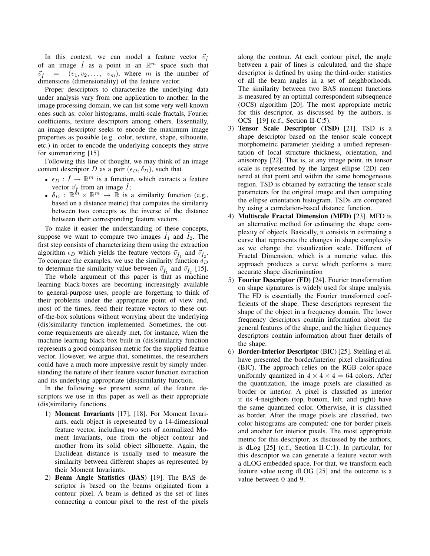In this context, we can model a feature vector  $\vec{v}_f$ of an image  $\hat{I}$  as a point in an  $\mathbb{R}^m$  space such that  $\vec{v}_f$  =  $(v_1, v_2, \ldots, v_m)$ , where m is the number of dimensions (dimensionality) of the feature vector.

Proper descriptors to characterize the underlying data under analysis vary from one application to another. In the image processing domain, we can list some very well-known ones such as: color histograms, multi-scale fractals, Fourier coefficients, texture descriptors among others. Essentially, an image descriptor seeks to encode the maximum image properties as possible (e.g., color, texture, shape, silhouette, etc.) in order to encode the underlying concepts they strive for summarizing [15].

Following this line of thought, we may think of an image content descriptor D as a pair  $(\epsilon_D, \delta_D)$ , such that

- $\epsilon_D : \hat{I} \to \mathbb{R}^m$  is a function, which extracts a feature vector  $\vec{v}_\hat{i}$  from an image  $\hat{i}$ ;
- $\delta_D$  :  $\mathbb{R}^m \times \mathbb{R}^m \to \mathbb{R}$  is a similarity function (e.g., based on a distance metric) that computes the similarity between two concepts as the inverse of the distance between their corresponding feature vectors.

To make it easier the understanding of these concepts, suppose we want to compare two images  $I_1$  and  $I_2$ . The first step consists of characterizing them using the extraction algorithm  $\epsilon_D$  which yields the feature vectors  $\vec{v}_{\hat{I}_1}$  and  $\vec{v}_{\hat{I}_2}$ . To compare the examples, we use the similarity function  $\delta_D$ to determine the similarity value between  $\vec{v}_{\hat{I}_1}$  and  $\vec{v}_{\hat{I}_2}$  [15].

The whole argument of this paper is that as machine learning black-boxes are becoming increasingly available to general-purpose uses, people are forgetting to think of their problems under the appropriate point of view and, most of the times, feed their feature vectors to these outof-the-box solutions without worrying about the underlying (dis)similarity function implemented. Sometimes, the outcome requirements are already met, for instance, when the machine learning black-box built-in (dis)similarity function represents a good comparison metric for the supplied feature vector. However, we argue that, sometimes, the researchers could have a much more impressive result by simply understanding the nature of their feature vector function extraction and its underlying appropriate (dis)similarity function.

In the following we present some of the feature descriptors we use in this paper as well as their appropriate (dis)similarity functions.

- 1) Moment Invariants [17], [18]. For Moment Invariants, each object is represented by a 14-dimensional feature vector, including two sets of normalized Moment Invariants, one from the object contour and another from its solid object silhouette. Again, the Euclidean distance is usually used to measure the similarity between different shapes as represented by their Moment Invariants.
- 2) Beam Angle Statistics (BAS) [19]. The BAS descriptor is based on the beams originated from a contour pixel. A beam is defined as the set of lines connecting a contour pixel to the rest of the pixels

along the contour. At each contour pixel, the angle between a pair of lines is calculated, and the shape descriptor is defined by using the third-order statistics of all the beam angles in a set of neighborhoods. The similarity between two BAS moment functions is measured by an optimal correspondent subsequence (OCS) algorithm [20]. The most appropriate metric for this descriptor, as discussed by the authors, is OCS [19] (c.f., Section II-C:5).

- 3) Tensor Scale Descriptor (TSD) [21]. TSD is a shape descriptor based on the tensor scale concept morphometric parameter yielding a unified representation of local structure thickness, orientation, and anisotropy [22]. That is, at any image point, its tensor scale is represented by the largest ellipse (2D) centered at that point and within the same homogeneous region. TSD is obtained by extracting the tensor scale parameters for the original image and then computing the ellipse orientation histogram. TSDs are compared by using a correlation-based distance function.
- 4) Multiscale Fractal Dimension (MFD) [23]. MFD is an alternative method for estimating the shape complexity of objects. Basically, it consists in estimating a curve that represents the changes in shape complexity as we change the visualization scale. Different of Fractal Dimension, which is a numeric value, this approach produces a curve which performs a more accurate shape discrimination
- 5) Fourier Descriptor (FD) [24]. Fourier transformation on shape signatures is widely used for shape analysis. The FD is essentially the Fourier transformed coefficients of the shape. These descriptors represent the shape of the object in a frequency domain. The lower frequency descriptors contain information about the general features of the shape, and the higher frequency descriptors contain information about finer details of the shape.
- 6) Border-Interior Descriptor (BIC) [25]. Stehling et al. have presented the border/interior pixel classification (BIC). The approach relies on the RGB color-space uniformly quantized in  $4 \times 4 \times 4 = 64$  colors. After the quantization, the image pixels are classified as border or interior. A pixel is classified as interior if its 4-neighbors (top, bottom, left, and right) have the same quantized color. Otherwise, it is classified as border. After the image pixels are classified, two color histograms are computed: one for border pixels and another for interior pixels. The most appropriate metric for this descriptor, as discussed by the authors, is dLog [25] (c.f., Section II-C:1). In particular, for this descriptor we can generate a feature vector with a dLOG embedded space. For that, we transform each feature value using dLOG [25] and the outcome is a value between 0 and 9.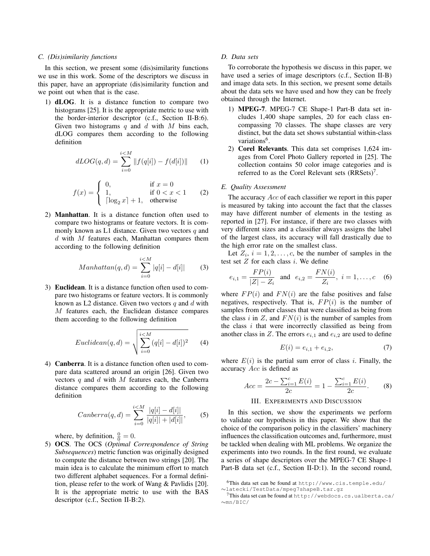# *C. (Dis)similarity functions*

In this section, we present some (dis)similarity functions we use in this work. Some of the descriptors we discuss in this paper, have an appropriate (dis)similarity function and we point out when that is the case.

1) dLOG. It is a distance function to compare two histograms [25]. It is the appropriate metric to use with the border-interior descriptor (c.f., Section II-B:6). Given two histograms  $q$  and  $d$  with  $M$  bins each, dLOG compares them according to the following definition

$$
dLOG(q,d) = \sum_{i=0}^{i
$$

$$
f(x) = \begin{cases} 0, & \text{if } x = 0\\ 1, & \text{if } 0 < x < 1\\ \lceil \log_2 x \rceil + 1, & \text{otherwise} \end{cases} \tag{2}
$$

2) Manhattan. It is a distance function often used to compare two histograms or feature vectors. It is commonly known as  $L1$  distance. Given two vectors  $q$  and  $d$  with  $M$  features each, Manhattan compares them according to the following definition

$$
Manhattan(q, d) = \sum_{i=0}^{i < M} |q[i] - d[i]| \tag{3}
$$

3) Euclidean. It is a distance function often used to compare two histograms or feature vectors. It is commonly known as L2 distance. Given two vectors  $q$  and  $d$  with M features each, the Euclidean distance compares them according to the following definition

$$
Euclidean(q, d) = \sqrt{\sum_{i=0}^{i (4)
$$

4) Canberra. It is a distance function often used to compare data scattered around an origin [26]. Given two vectors  $q$  and  $d$  with  $M$  features each, the Canberra distance compares them according to the following definition

$$
Canberra(q, d) = \sum_{i=0}^{i < M} \frac{|q[i] - d[i]|}{|q[i]| + |d[i]|},\tag{5}
$$

where, by definition,  $\frac{0}{0} = 0$ .

5) OCS. The OCS (*Optimal Correspondence of String Subsequences*) metric function was originally designed to compute the distance between two strings [20]. The main idea is to calculate the minimum effort to match two different alphabet sequences. For a formal definition, please refer to the work of Wang & Pavlidis [20]. It is the appropriate metric to use with the BAS descriptor (c.f., Section II-B:2).

### *D. Data sets*

To corroborate the hypothesis we discuss in this paper, we have used a series of image descriptors (c.f., Section II-B) and image data sets. In this section, we present some details about the data sets we have used and how they can be freely obtained through the Internet.

- 1) MPEG-7. MPEG-7 CE Shape-1 Part-B data set includes 1,400 shape samples, 20 for each class encompassing 70 classes. The shape classes are very distinct, but the data set shows substantial within-class variations<sup>6</sup>.
- 2) Corel Relevants. This data set comprises 1,624 images from Corel Photo Gallery reported in [25]. The collection contains 50 color image categories and is referred to as the Corel Relevant sets  $(RRSets)^7$ .

#### *E. Quality Assessment*

The accuracy Acc of each classifier we report in this paper is measured by taking into account the fact that the classes may have different number of elements in the testing as reported in [27]. For instance, if there are two classes with very different sizes and a classifier always assigns the label of the largest class, its accuracy will fall drastically due to the high error rate on the smallest class.

Let  $Z_i$ ,  $i = 1, 2, \ldots, c$ , be the number of samples in the test set  $Z$  for each class  $i$ . We define

$$
e_{i,1} = \frac{FP(i)}{|Z| - Z_i}
$$
 and  $e_{i,2} = \frac{FN(i)}{Z_i}$ ,  $i = 1,...,c$  (6)

where  $FP(i)$  and  $FN(i)$  are the false positives and false negatives, respectively. That is,  $FP(i)$  is the number of samples from other classes that were classified as being from the class i in  $Z$ , and  $FN(i)$  is the number of samples from the class  $i$  that were incorrectly classified as being from another class in Z. The errors  $e_{i,1}$  and  $e_{i,2}$  are used to define

$$
E(i) = e_{i,1} + e_{i,2},\tag{7}
$$

where  $E(i)$  is the partial sum error of class i. Finally, the accuracy Acc is defined as

$$
Acc = \frac{2c - \sum_{i=1}^{c} E(i)}{2c} = 1 - \frac{\sum_{i=1}^{c} E(i)}{2c}.
$$
 (8)

### III. EXPERIMENTS AND DISCUSSION

In this section, we show the experiments we perform to validate our hypothesis in this paper. We show that the choice of the comparison policy in the classifiers' machinery influences the classification outcomes and, furthermore, must be tackled when dealing with ML problems. We organize the experiments into two rounds. In the first round, we evaluate a series of shape descriptors over the MPEG-7 CE Shape-1 Part-B data set (c.f., Section II-D:1). In the second round,

<sup>6</sup>This data set can be found at http://www.cis.temple.edu/

<sup>∼</sup>latecki/TestData/mpeg7shapeB.tar.gz

<sup>7</sup>This data set can be found at http://webdocs.cs.ualberta.ca/ ∼mn/BIC/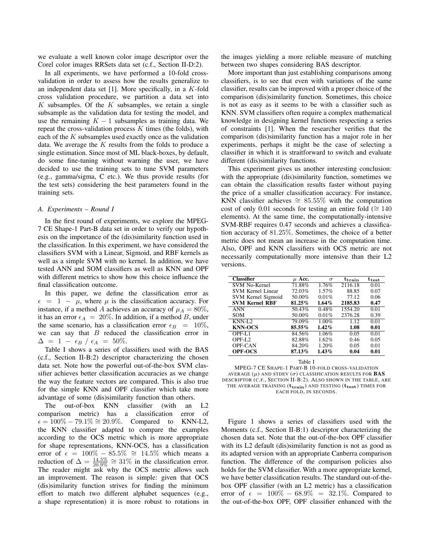we evaluate a well known color image descriptor over the Corel color images RRSets data set (c.f., Section II-D:2).

In all experiments, we have performed a 10-fold crossvalidation in order to assess how the results generalize to an independent data set  $[1]$ . More specifically, in a K-fold cross validation procedure, we partition a data set into K subsamples. Of the  $K$  subsamples, we retain a single subsample as the validation data for testing the model, and use the remaining  $K - 1$  subsamples as training data. We repeat the cross-validation process  $K$  times (the folds), with each of the K subsamples used exactly once as the validation data. We average the  $K$  results from the folds to produce a single estimation. Since most of ML black-boxes, by default, do some fine-tuning without warning the user, we have decided to use the training sets to tune SVM parameters (e.g., gamma/sigma, C etc.). We thus provide results (for the test sets) considering the best parameters found in the training sets.

# *A. Experiments – Round I*

In the first round of experiments, we explore the MPEG-7 CE Shape-1 Part-B data set in order to verify our hypothesis on the importance of the (dis)similarity function used in the classification. In this experiment, we have considered the classifiers SVM with a Linear, Sigmoid, and RBF kernels as well as a simple SVM with no kernel. In addition, we have tested ANN and SOM classifiers as well as KNN and OPF with different metrics to show how this choice influence the final classification outcome.

In this paper, we define the classification error as  $\epsilon = 1 - \mu$ , where  $\mu$  is the classification accuracy. For instance, if a method A achieves an accuracy of  $\mu_A = 80\%,$ it has an error  $\epsilon_A = 20\%$ . In addition, if a method B, under the same scenario, has a classification error  $\epsilon_B = 10\%,$ we can say that  $B$  reduced the classification error in  $\Delta = 1 - \epsilon_B / \epsilon_A = 50\%.$ 

Table I shows a series of classifiers used with the BAS (c.f., Section II-B:2) descriptor characterizing the chosen data set. Note how the powerful out-of-the-box SVM classifier achieves better classification accuracies as we change the way the feature vectors are compared. This is also true for the simple KNN and OPF classifier which take more advantage of some (dis)similarity function than others.

The out-of-box KNN classifier (with an L2 comparison metric) has a classification error of  $\epsilon = 100\% - 79.1\% \approx 20.9\%.$  Compared to KNN-L2, the KNN classifier adapted to compare the examples according to the OCS metric which is more appropriate for shape representations, KNN-OCS, has a classification error of  $\epsilon = 100\% - 85.5\% \approx 14.5\%$  which means a reduction of  $\Delta = \frac{14.5\%}{20.9\%} \approx 31\%$  in the classification error. The reader might ask why the OCS metric allows such an improvement. The reason is simple: given that OCS (dis)similarity function strives for finding the minimum effort to match two different alphabet sequences (e.g., a shape representation) it is more robust to rotations in the images yielding a more reliable measure of matching between two shapes considering BAS descriptor.

More important than just establishing comparisons among classifiers, is to see that even with variations of the same classifier, results can be improved with a proper choice of the comparison (dis)similarity function. Sometimes, this choice is not as easy as it seems to be with a classifier such as KNN. SVM classifiers often require a complex mathematical knowledge in designing kernel functions respecting a series of constraints [1]. When the researcher verifies that the comparison (dis)similarity function has a major role in her experiments, perhaps it might be the case of selecting a classifier in which it is straitforward to switch and evaluate different (dis)similarity functions.

This experiment gives us another interesting conclusion: with the appropriate (dis)similarity function, sometimes we can obtain the classification results faster without paying the price of a smaller classification accuracy. For instance, KNN classifier achieves  $\cong 85.55\%$  with the computation cost of only 0.01 seconds for testing an entire fold ( $\cong$  140 elements). At the same time, the computationally-intensive SVM-RBF requires 0.47 seconds and achieves a classification accuracy of 81.25%. Sometimes, the choice of a better metric does not mean an increase in the computation time. Also, OPF and KNN classifiers with OCS metric are not necessarily computationally more intensive than their L2 versions.

| <b>Classifier</b>        | $\mu$ Acc. | $\sigma$ | $t_{\rm train}$ | $t_{test}$ |
|--------------------------|------------|----------|-----------------|------------|
| <b>SVM No-Kernel</b>     | 71.88%     | 1.76%    | 2116.18         | 0.01       |
| <b>SVM Kernel Linear</b> | 72.03%     | $1.57\%$ | 88.85           | 0.07       |
| SVM Kernel Sigmoid       | 50.00%     | 0.01%    | 77.12           | 0.06       |
| <b>SVM Kernel RBF</b>    | 81.25%     | $1.64\%$ | 2185.83         | 0.47       |
| <b>ANN</b>               | 50.43%     | 0.48%    | 1554.20         | 0.01       |
| <b>SOM</b>               | 50.00%     | 0.01%    | 2376.28         | 0.39       |
| $KNN-I.2$                | 79.09%     | $1.00\%$ | 1.12            | 0.01       |
| <b>KNN-OCS</b>           | 85.55%     | $1.42\%$ | 1.08            | 0.01       |
| $OPE-L1$                 | 84.56%     | 1.06%    | 0.05            | 0.01       |
| $OPF-I.2$                | 82.88%     | 1.62%    | 0.46            | 0.05       |
| <b>OPF-CAN</b>           | 84.20%     | 1.20%    | 0.05            | 0.01       |
| <b>OPF-OCS</b>           | 87.13%     | $1.43\%$ | 0.04            | 0.01       |

| ., |  |  |
|----|--|--|
|----|--|--|

MPEG-7 CE SHAPE-1 PART-B 10-FOLD CROSS-VALIDATION AVERAGE  $(\mu)$  AND STDEV  $(\sigma)$  CLASSIFICATION RESULTS FOR BAS DESCRIPTOR (C.F., SECTION II-B:2). ALSO SHOWN IN THE TABLE, ARE THE AVERAGE TRAINING  $\left(\mathbf{t_{train}}\right)$  and testing  $\left(\mathbf{t_{test}}\right)$  times for EACH FOLD, IN SECONDS.

Figure 1 shows a series of classifiers used with the Moments (c.f., Section II-B:1) descriptor characterizing the chosen data set. Note that the out-of-the-box OPF classifier with its L2 default (dis)similarity function is not as good as its adapted version with an appropriate Canberra comparison function. The difference of the comparison policies also holds for the SVM classifier. With a more appropriate kernel, we have better classification results. The standard out-of-thebox OPF classifier (with an L2 metric) has a classification error of  $\epsilon = 100\% - 68.9\% = 32.1\%$ . Compared to the out-of-the-box OPF, OPF classifier enhanced with the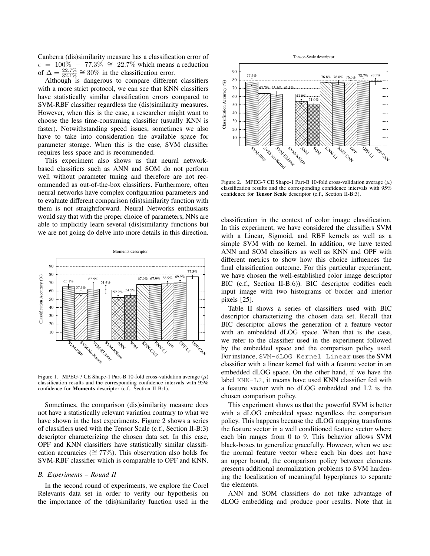Canberra (dis)similarity measure has a classification error of  $\epsilon = 100\% - 77.3\% \approx 22.7\%$  which means a reduction of  $\Delta = \frac{22.7\%}{32.1\%} \approx 30\%$  in the classification error.

Although is dangerous to compare different classifiers with a more strict protocol, we can see that KNN classifiers have statistically similar classification errors compared to SVM-RBF classifier regardless the (dis)similarity measures. However, when this is the case, a researcher might want to choose the less time-consuming classifier (usually KNN is faster). Notwithstanding speed issues, sometimes we also have to take into consideration the available space for parameter storage. When this is the case, SVM classifier requires less space and is recommended.

This experiment also shows us that neural networkbased classifiers such as ANN and SOM do not perform well without parameter tuning and therefore are not recommended as out-of-the-box classifiers. Furthermore, often neural networks have complex configuration parameters and to evaluate different comparison (dis)similarity function with them is not straightforward. Neural Networks enthusiasts would say that with the proper choice of parameters, NNs are able to implicitly learn several (dis)similarity functions but we are not going do delve into more details in this direction.



Figure 1. MPEG-7 CE Shape-1 Part-B 10-fold cross-validation average  $(\mu)$ classification results and the corresponding confidence intervals with 95% confidence for Moments descriptor (c.f., Section II-B:1).

Sometimes, the comparison (dis)similarity measure does not have a statistically relevant variation contrary to what we have shown in the last experiments. Figure 2 shows a series of classifiers used with the Tensor Scale (c.f., Section II-B:3) descriptor characterizing the chosen data set. In this case, OPF and KNN classifiers have statistically similar classification accuracies ( $\cong$  77%). This observation also holds for SVM-RBF classifier which is comparable to OPF and KNN.

# *B. Experiments – Round II*

In the second round of experiments, we explore the Corel Relevants data set in order to verify our hypothesis on the importance of the (dis)similarity function used in the



Figure 2. MPEG-7 CE Shape-1 Part-B 10-fold cross-validation average  $(\mu)$ classification results and the corresponding confidence intervals with 95% confidence for Tensor Scale descriptor (c.f., Section II-B:3).

classification in the context of color image classification. In this experiment, we have considered the classifiers SVM with a Linear, Sigmoid, and RBF kernels as well as a simple SVM with no kernel. In addition, we have tested ANN and SOM classifiers as well as KNN and OPF with different metrics to show how this choice influences the final classification outcome. For this particular experiment, we have chosen the well-established color image descriptor BIC (c.f., Section II-B:6)). BIC descriptor codifies each input image with two histograms of border and interior pixels [25].

Table II shows a series of classifiers used with BIC descriptor characterizing the chosen data set. Recall that BIC descriptor allows the generation of a feature vector with an embedded dLOG space. When that is the case, we refer to the classifier used in the experiment followed by the embedded space and the comparison policy used. For instance, SVM-dLOG Kernel Linear uses the SVM classifier with a linear kernel fed with a feature vector in an embedded dLOG space. On the other hand, if we have the label KNN-L2, it means have used KNN classifier fed with a feature vector with no dLOG embedded and L2 is the chosen comparison policy.

This experiment shows us that the powerful SVM is better with a dLOG embedded space regardless the comparison policy. This happens because the dLOG mapping transforms the feature vector in a well conditioned feature vector where each bin ranges from 0 to 9. This behavior allows SVM black-boxes to generalize gracefully. However, when we use the normal feature vector where each bin does not have an upper bound, the comparison policy between elements presents additional normalization problems to SVM hardening the localization of meaningful hyperplanes to separate the elements.

ANN and SOM classifiers do not take advantage of dLOG embedding and produce poor results. Note that in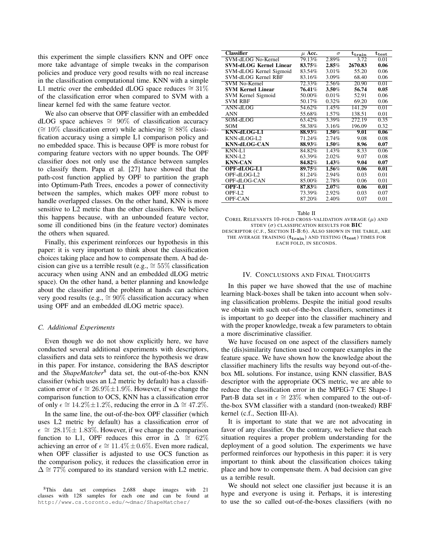this experiment the simple classifiers KNN and OPF once more take advantage of simple tweaks in the comparison policies and produce very good results with no real increase in the classification computational time. KNN with a simple L1 metric over the embedded dLOG space reduces  $\approx 31\%$ of the classification error when compared to SVM with a linear kernel fed with the same feature vector.

We also can observe that OPF classifier with an embedded dLOG space achieves ∼= 90% of classification accuracy  $(\approx 10\%$  classification error) while achieving  $\approx 88\%$  classification accuracy using a simple L1 comparison policy and no embedded space. This is because OPF is more robust for comparing feature vectors with no upper bounds. The OPF classifier does not only use the distance between samples to classify them. Papa et al. [27] have showed that the path-cost function applied by OPF to partition the graph into Optimum-Path Trees, encodes a power of connectivity between the samples, which makes OPF more robust to handle overlapped classes. On the other hand, KNN is more sensitive to L2 metric than the other classifiers. We believe this happens because, with an unbounded feature vector, some ill conditioned bins (in the feature vector) dominates the others when squared.

Finally, this experiment reinforces our hypothesis in this paper: it is very important to think about the classification choices taking place and how to compensate them. A bad decision can give us a terrible result (e.g.,  $\approx$  55% classification accuracy when using ANN and an embedded dLOG metric space). On the other hand, a better planning and knowledge about the classifier and the problem at hands can achieve very good results (e.g.,  $\approx 90\%$  classification accuracy when using OPF and an embedded dLOG metric space).

#### *C. Additional Experiments*

Even though we do not show explicitly here, we have conducted several additional experiments with descriptors, classifiers and data sets to reinforce the hypothesis we draw in this paper. For instance, considering the BAS descriptor and the *ShapeMatcher*<sup>8</sup> data set, the out-of-the-box KNN classifier (which uses an L2 metric by default) has a classification error of  $\epsilon \approx 26.9\% \pm 1.9\%$ . However, if we change the comparison function to OCS, KNN has a classification error of only  $\epsilon \cong 14.2\% \pm 1.2\%$ , reducing the error in  $\Delta \cong 47.2\%$ .

In the same line, the out-of-the-box OPF classifier (which uses L2 metric by default) has a classification error of  $\epsilon$  ≅ 28.1% $\pm$  1.83%. However, if we change the comparison function to L1, OPF reduces this error in  $\Delta \cong 62\%$ achieving an error of  $\epsilon \cong 11.4\% \pm 0.6\%$ . Even more radical, when OPF classifier is adjusted to use OCS function as the comparison policy, it reduces the classification error in  $\Delta \cong 77\%$  compared to its standard version with L2 metric.

| <b>Classifier</b>             | $\mu$ Acc. | $\sigma$ | $t_{\rm train}$    | $t_{test}$ |
|-------------------------------|------------|----------|--------------------|------------|
| SVM-dLOG No-Kernel            | 79.13%     | 2.89%    | 3.72               | 0.01       |
| <b>SVM-dLOG Kernel Linear</b> | 83.75%     | 2.85%    | 2670.83            | 0.06       |
| SVM-dLOG Kernel Sigmoid       | 83.54%     | 3.01%    | 55.20              | 0.06       |
| SVM-dLOG Kernel RBF           | 83.16%     | 3.09%    | 68.40              | 0.06       |
| <b>SVM No-Kernel</b>          | 72.33%     | 2.56%    | $\overline{20.90}$ | 0.01       |
| <b>SVM Kernel Linear</b>      | 76.41%     | 3.50%    | 56.74              | 0.05       |
| SVM Kernel Sigmoid            | 50.00%     | 0.01%    | 52.91              | 0.06       |
| <b>SVM RBF</b>                | 50.17%     | $0.32\%$ | 69.20              | 0.06       |
| ANN-dLOG                      | 54.62%     | 1.45%    | 141.29             | 0.01       |
| ANN                           | 55.68%     | 1.57%    | 138.51             | 0.01       |
| SOM-dLOG                      | 63.42%     | 3.39%    | 272.19             | 0.35       |
| SOM                           | 58.38%     | 3.16%    | 196.09             | 0.32       |
| <b>KNN-dLOG-L1</b>            | 88.93%     | $1.50\%$ | 9.01               | 0.06       |
| KNN-dLOG-L2                   | 71.24%     | 2.74%    | 9.08               | 0.08       |
| <b>KNN-dLOG-CAN</b>           | 88.93%     | 1.50%    | 8.96               | 0.07       |
| KNN-L1                        | 84.82%     | 1.43%    | 8.33               | 0.06       |
| KNN-L2                        | 63.39%     | 2.02%    | 9.07               | 0.08       |
| <b>KNN-CAN</b>                | 84.82%     | 1.43%    | 9.04               | 0.07       |
| OPF-dLOG-L1                   | 89.75%     | $1.56\%$ | 0.06               | 0.01       |
| OPF-dLOG-L2                   | 81.24%     | 2.94%    | 0.03               | 0.01       |
| OPF-dLOG-CAN                  | 85.00%     | 2.78%    | 0.06               | 0.01       |
| <b>OPF-L1</b>                 | $87.83\%$  | $2.07\%$ | 0.06               | 0.01       |
| $OPF-I.2$                     | 73.39%     | 2.92%    | 0.03               | 0.07       |
| <b>OPF-CAN</b>                | 87.20%     | 2.40%    | 0.07               | 0.01       |

#### Table II

COREL RELEVANTS 10-FOLD CROSS-VALIDATION AVERAGE  $(\mu)$  and STDEV  $(\sigma)$  CLASSIFICATION RESULTS FOR **BIC** 

DESCRIPTOR (C.F., SECTION II-B:6). ALSO SHOWN IN THE TABLE, ARE THE AVERAGE TRAINING  $(\mathbf{t_{train}})$  and testing  $(\mathbf{t_{test}})$  times for EACH FOLD, IN SECONDS.

# IV. CONCLUSIONS AND FINAL THOUGHTS

In this paper we have showed that the use of machine learning black-boxes shall be taken into account when solving classification problems. Despite the initial good results we obtain with such out-of-the-box classifiers, sometimes it is important to go deeper into the classifier machinery and with the proper knowledge, tweak a few parameters to obtain a more discriminative classifier.

We have focused on one aspect of the classifiers namely the (dis)similarity function used to compare examples in the feature space. We have shown how the knowledge about the classifier machinery lifts the results way beyond out-of-thebox ML solutions. For instance, using KNN classifier, BAS descriptor with the appropriate OCS metric, we are able to reduce the classification error in the MPEG-7 CE Shape-1 Part-B data set in  $\epsilon \approx 23\%$  when compared to the out-ofthe-box SVM classifier with a standard (non-tweaked) RBF kernel (c.f., Section III-A).

It is important to state that we are not advocating in favor of any classifier. On the contrary, we believe that each situation requires a proper problem understanding for the deployment of a good solution. The experiments we have performed reinforces our hypothesis in this paper: it is very important to think about the classification choices taking place and how to compensate them. A bad decision can give us a terrible result.

We should not select one classifier just because it is an hype and everyone is using it. Perhaps, it is interesting to use the so called out-of-the-boxes classifiers (with no

<sup>8</sup>This data set comprises 2,688 shape images with 21 classes with 128 samples for each one and can be found at http://www.cs.toronto.edu/∼dmac/ShapeMatcher/